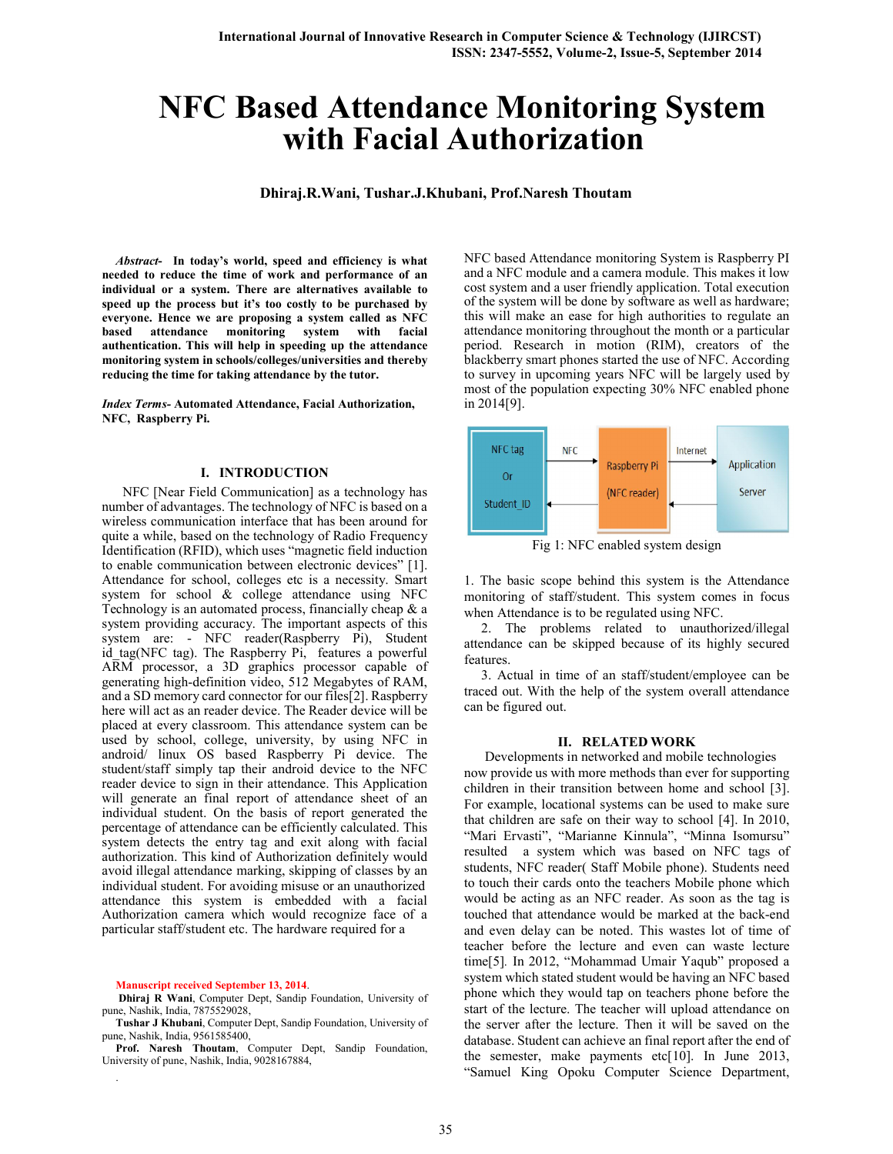# NFC Based Attendance Monitoring System with Facial Authorization

### Dhiraj.R.Wani, Tushar.J.Khubani, Prof.Naresh Thoutam

*Abstract*- In today's world, speed and efficiency is what needed to reduce the time of work and performance of an individual or a system. There are alternatives available to speed up the process but it's too costly to be purchased by everyone. Hence we are proposing a system called as NFC based attendance monitoring system with facial authentication. This will help in speeding up the attendance monitoring system in schools/colleges/universities and thereby reducing the time for taking attendance by the tutor.

*Index Terms-* Automated Attendance, Facial Authorization, NFC, Raspberry Pi.

#### I. INTRODUCTION

 NFC [Near Field Communication] as a technology has number of advantages. The technology of NFC is based on a wireless communication interface that has been around for quite a while, based on the technology of Radio Frequency Identification (RFID), which uses "magnetic field induction to enable communication between electronic devices" [1]. Attendance for school, colleges etc is a necessity. Smart system for school & college attendance using NFC Technology is an automated process, financially cheap & a system providing accuracy. The important aspects of this system are: - NFC reader(Raspberry Pi), Student id tag(NFC tag). The Raspberry Pi, features a powerful ARM processor, a 3D graphics processor capable of generating high-definition video, 512 Megabytes of RAM, and a SD memory card connector for our files[2]. Raspberry here will act as an reader device. The Reader device will be placed at every classroom. This attendance system can be used by school, college, university, by using NFC in android/ linux OS based Raspberry Pi device. The student/staff simply tap their android device to the NFC reader device to sign in their attendance. This Application will generate an final report of attendance sheet of an individual student. On the basis of report generated the percentage of attendance can be efficiently calculated. This system detects the entry tag and exit along with facial authorization. This kind of Authorization definitely would avoid illegal attendance marking, skipping of classes by an individual student. For avoiding misuse or an unauthorized attendance this system is embedded with a facial Authorization camera which would recognize face of a particular staff/student etc. The hardware required for a

Manuscript received September 13, 2014.

.

Dhiraj R Wani, Computer Dept, Sandip Foundation, University of pune, Nashik, India, 7875529028,

Tushar J Khubani, Computer Dept, Sandip Foundation, University of pune, Nashik, India, 9561585400,

Prof. Naresh Thoutam, Computer Dept, Sandip Foundation, University of pune, Nashik, India, 9028167884,

NFC based Attendance monitoring System is Raspberry PI and a NFC module and a camera module. This makes it low cost system and a user friendly application. Total execution of the system will be done by software as well as hardware; this will make an ease for high authorities to regulate an attendance monitoring throughout the month or a particular period. Research in motion (RIM), creators of the blackberry smart phones started the use of NFC. According to survey in upcoming years NFC will be largely used by most of the population expecting 30% NFC enabled phone in 2014[9].



Fig 1: NFC enabled system design

1. The basic scope behind this system is the Attendance monitoring of staff/student. This system comes in focus when Attendance is to be regulated using NFC.

 2. The problems related to unauthorized/illegal attendance can be skipped because of its highly secured features.

 3. Actual in time of an staff/student/employee can be traced out. With the help of the system overall attendance can be figured out.

#### II. RELATED WORK

 Developments in networked and mobile technologies now provide us with more methods than ever for supporting children in their transition between home and school [3]. For example, locational systems can be used to make sure that children are safe on their way to school [4]. In 2010, "Mari Ervasti", "Marianne Kinnula", "Minna Isomursu" resulted a system which was based on NFC tags of students, NFC reader( Staff Mobile phone). Students need to touch their cards onto the teachers Mobile phone which would be acting as an NFC reader. As soon as the tag is touched that attendance would be marked at the back-end and even delay can be noted. This wastes lot of time of teacher before the lecture and even can waste lecture time[5]. In 2012, "Mohammad Umair Yaqub" proposed a system which stated student would be having an NFC based phone which they would tap on teachers phone before the start of the lecture. The teacher will upload attendance on the server after the lecture. Then it will be saved on the database. Student can achieve an final report after the end of the semester, make payments etc[10]. In June 2013, "Samuel King Opoku Computer Science Department,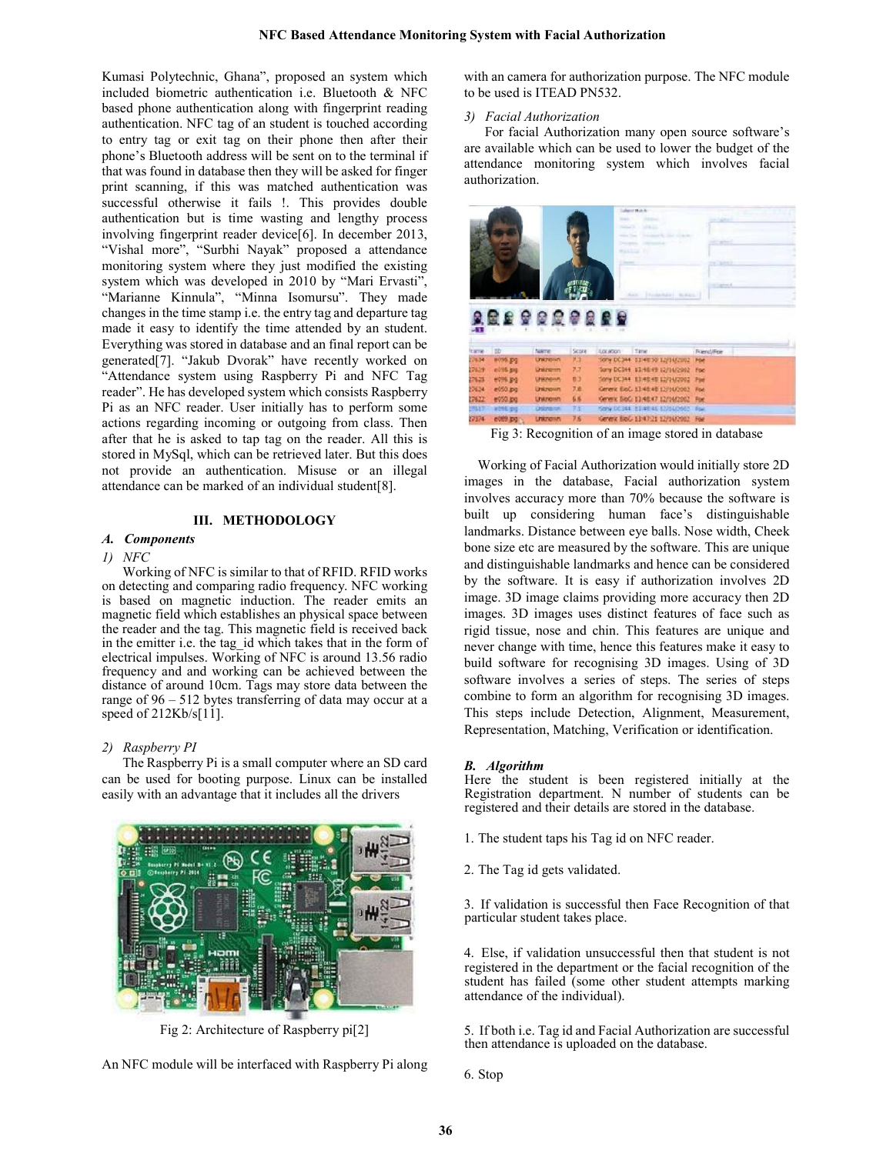Kumasi Polytechnic, Ghana", proposed an system which included biometric authentication i.e. Bluetooth & NFC based phone authentication along with fingerprint reading authentication. NFC tag of an student is touched according to entry tag or exit tag on their phone then after their phone's Bluetooth address will be sent on to the terminal if that was found in database then they will be asked for finger print scanning, if this was matched authentication was successful otherwise it fails !. This provides double authentication but is time wasting and lengthy process involving fingerprint reader device[6]. In december 2013, "Vishal more", "Surbhi Nayak" proposed a attendance monitoring system where they just modified the existing system which was developed in 2010 by "Mari Ervasti", "Marianne Kinnula", "Minna Isomursu". They made changes in the time stamp i.e. the entry tag and departure tag made it easy to identify the time attended by an student. Everything was stored in database and an final report can be generated[7]. "Jakub Dvorak" have recently worked on "Attendance system using Raspberry Pi and NFC Tag reader". He has developed system which consists Raspberry Pi as an NFC reader. User initially has to perform some actions regarding incoming or outgoing from class. Then after that he is asked to tap tag on the reader. All this is stored in MySql, which can be retrieved later. But this does not provide an authentication. Misuse or an illegal attendance can be marked of an individual student[8].

#### III. METHODOLOGY

## *A. Components*

#### *1) NFC*

 Working of NFC is similar to that of RFID. RFID works on detecting and comparing radio frequency. NFC working is based on magnetic induction. The reader emits an magnetic field which establishes an physical space between the reader and the tag. This magnetic field is received back in the emitter i.e. the tag\_id which takes that in the form of electrical impulses. Working of NFC is around 13.56 radio frequency and and working can be achieved between the distance of around 10cm. Tags may store data between the range of 96 – 512 bytes transferring of data may occur at a speed of 212Kb/s[11].

#### *2) Raspberry PI*

 The Raspberry Pi is a small computer where an SD card can be used for booting purpose. Linux can be installed easily with an advantage that it includes all the drivers



Fig 2: Architecture of Raspberry pi[2]

An NFC module will be interfaced with Raspberry Pi along

with an camera for authorization purpose. The NFC module to be used is ITEAD PN532.

#### *3) Facial Authorization*

 For facial Authorization many open source software's are available which can be used to lower the budget of the attendance monitoring system which involves facial authorization.

|                                                                            |                       |                  |       |                                       | <b>Sudgest Match</b>                    |             |
|----------------------------------------------------------------------------|-----------------------|------------------|-------|---------------------------------------|-----------------------------------------|-------------|
|                                                                            |                       |                  |       | <b>Transit</b><br><b>Contract Co.</b> | <b>COLORED AND</b><br><b>STATISTICS</b> |             |
|                                                                            |                       |                  |       | massa                                 |                                         |             |
|                                                                            |                       |                  |       |                                       |                                         |             |
|                                                                            |                       |                  |       |                                       |                                         |             |
|                                                                            |                       |                  |       |                                       | chemicro-1. Humble-                     | point of    |
|                                                                            |                       |                  |       |                                       |                                         |             |
|                                                                            |                       |                  |       |                                       |                                         |             |
|                                                                            |                       |                  |       |                                       |                                         |             |
| m                                                                          |                       | <b>ARAGERERS</b> |       |                                       |                                         |             |
|                                                                            | 3D                    | <b>Name</b>      | Since | <b>Baskron</b>                        | Time                                    | Transdation |
|                                                                            | <b>#096.043</b>       | <b>Unicrosin</b> | 7.3   |                                       | Sony DC344 13:48:50 12/14/2002          | <b>For</b>  |
|                                                                            | ed its en             | <b>Unimper</b>   | 7.7   |                                       | Sony DC344 13:48:49 12/14/2002          | <b>Foe</b>  |
|                                                                            | 4095.80               | <b>Unknown</b>   | 63    |                                       | :Some DC344 13:48:48 12/14/2002         | Fost        |
|                                                                            | er050 (pg)            | <b>Unknown</b>   | 7.6   |                                       | Generic BioG: 13:48:48 12/1/6/2002      | <b>Bows</b> |
|                                                                            |                       | <b>Unicrown</b>  | 6.6   |                                       | Kenerk BloC: 13:48:47 12/14/2002        | Fort        |
| <b>EURTH</b><br>276.54<br>22629<br>27625<br>27634<br>176.22<br><b>HAVE</b> | e050.pd<br>edrill gig | <b>Unknown</b>   | 字库    |                                       | 150Hy DC344 1134E45 12/16/2002          | <b>Fran</b> |

Fig 3: Recognition of an image stored in database

Working of Facial Authorization would initially store 2D images in the database, Facial authorization system involves accuracy more than 70% because the software is built up considering human face's distinguishable landmarks. Distance between eye balls. Nose width, Cheek bone size etc are measured by the software. This are unique and distinguishable landmarks and hence can be considered by the software. It is easy if authorization involves 2D image. 3D image claims providing more accuracy then 2D images. 3D images uses distinct features of face such as rigid tissue, nose and chin. This features are unique and never change with time, hence this features make it easy to build software for recognising 3D images. Using of 3D software involves a series of steps. The series of steps combine to form an algorithm for recognising 3D images. This steps include Detection, Alignment, Measurement, Representation, Matching, Verification or identification.

#### *B. Algorithm*

Here the student is been registered initially at the Registration department. N number of students can be registered and their details are stored in the database.

- 1. The student taps his Tag id on NFC reader.
- 2. The Tag id gets validated.

3. If validation is successful then Face Recognition of that particular student takes place.

4. Else, if validation unsuccessful then that student is not registered in the department or the facial recognition of the student has failed (some other student attempts marking attendance of the individual).

5. If both i.e. Tag id and Facial Authorization are successful then attendance is uploaded on the database.

6. Stop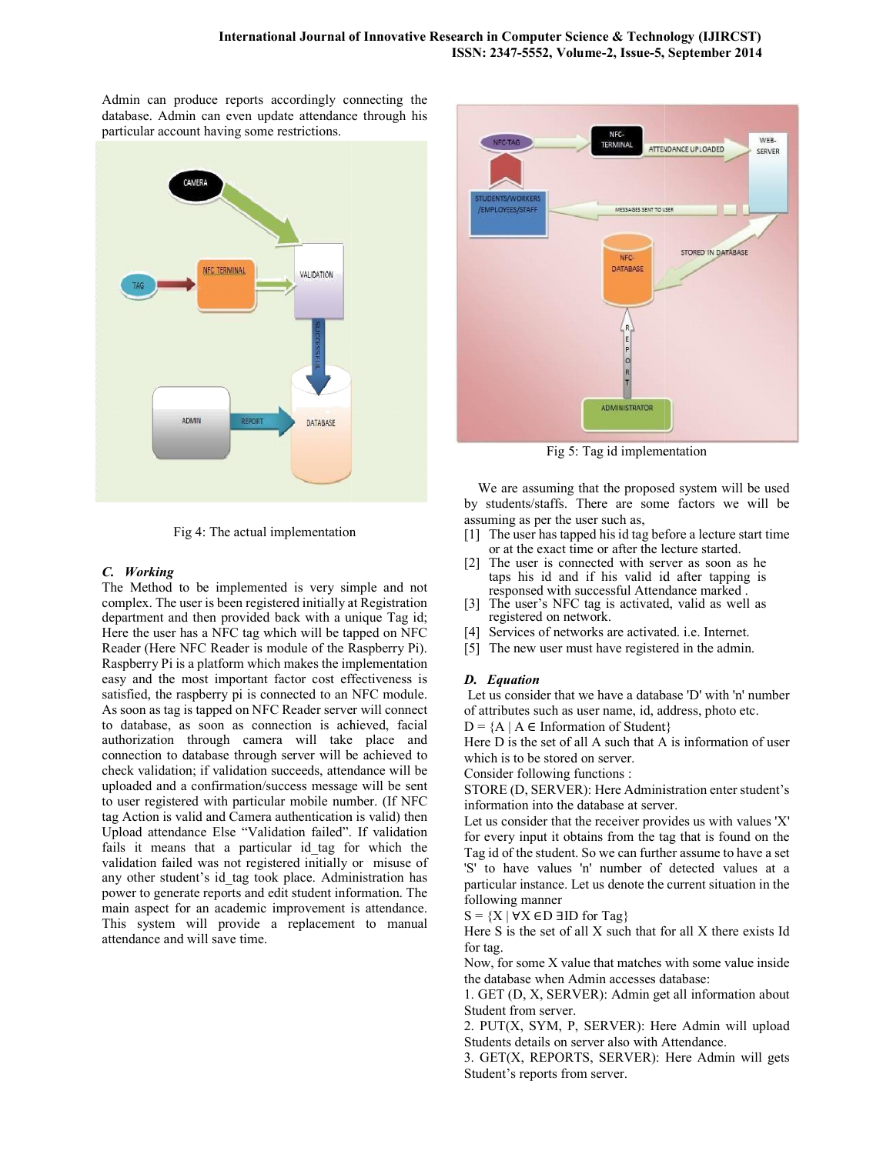Admin can produce reports accordingly connecting the database. Admin can even update attendance through his particular account having some restrictions.



Fig 4: The actual implementation

## *C. Working*

The Method to be implemented is very simple and not complex. The user is been registered initially at Registration complex. The user is been registered initially at Registration department and then provided back with a unique Tag id; Here the user has a NFC tag which will be tapped on NFC Reader (Here NFC Reader is module of the Raspberry Pi). Raspberry Pi is a platform which makes the implementation easy and the most important factor cost effectiveness is satisfied, the raspberry pi is connected to an NFC module. As soon as tag is tapped on NFC Reader server will connect to database, as soon as connection is achieved, facial authorization through camera will take place and connection to database through server will be achieved to check validation; if validation succeeds, attendance will be uploaded and a confirmation/success message will be sent to user registered with particular mobile number. (If NFC tag Action is valid and Camera authentication is valid) then Upload attendance Else "Validation failed". If validation fails it means that a particular id\_tag for which the validation failed was not registered initially or misuse of any other student's id\_tag took place. Administration has power to generate reports and edit student information. The main aspect for an academic improvement is attendance. This system will provide a replacement to manual attendance and will save time. platform which makes the implementation<br>st important factor cost effectiveness is<br>berry pi is connected to an NFC module.<br>apped on NFC Reader server will connect<br>soon as connection is achieved, facial<br>rough camera will tak Fig 5: Tag id implementation<br>
We are assuming that the proposed syste<br>
by students/staffs. There are some factor<br>
assuming as per the user such as,<br>
(1) The user has tapped his id angle bofore a lead<br>
or at the exact time



We are assuming that the proposed system will be used by students/staffs. There are some factors we will be assuming as per the user such as,

- [1] The user has tapped his id tag before a lecture start time or at the exact time or after the lecture started.
- [2] The user is connected with server as soon as he taps his id and if his valid id after tapping responsed with successful Attendance marked . has tapped his id tag before a lecture start t<br>exact time or after the lecture started.<br>is connected with server as soon as he<br>id and if his valid id after tapping is
- [3] The user's NFC tag is activated, valid as well as registered on network.
- [4] Services of networks are activated. i.e. Internet.
- [5] The new user must have registered in the admin.

## *D. Equation*

Let us consider that we have a database 'D' with 'n' number of attributes such as user name, id, address, photo etc.

 $D = \{A \mid A \in \text{Information of Student}\}\$ 

Here D is the set of all A such that A is information of user which is to be stored on server.

Consider following functions :

STORE (D, SERVER): Here Administration enter student's information into the database at server.

Let us consider that the receiver provides us with values 'X' for every input it obtains from the tag that is found on the Tag id of the student. So we can further assume to have a set 'S' to have values 'n' number of detected values at a particular instance. Let us denote the current situation in the following manner Let us consider that we have a database 'D' with 'n' number<br>
of attributes such as user name, id, address, photo etc.<br>  $D = \{A \mid A \in \text{Information of Student}\}\$ <br>
Here D is the set of all A such that A is information of user<br>
which is to be st

 $S = {X | \forall X \in D \exists ID \text{ for } Tag}$ 

Here S is the set of all X such that for all X there exists Id for tag.

Now, for some X value that matches with some value inside the database when Admin accesses database:

1. GET (D, X, SERVER): Admin get all information about Student from server.

2. PUT(X, SYM, P, SERVER): Here Admin will upload Students details on server also with Attendance.

3. GET(X, REPORTS, SERVER): Here Admin will gets Student's reports from server.